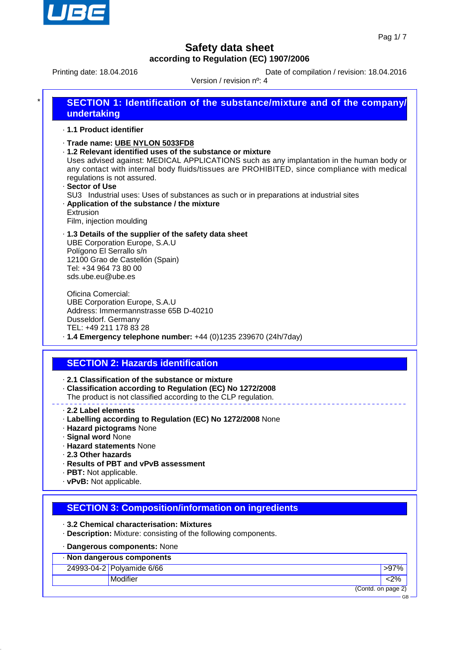

Printing date: 18.04.2016 **Date of compilation / revision: 18.04.2016** 

Version / revision nº: 4

| $\star$ | SECTION 1: Identification of the substance/mixture and of the company/<br>undertaking                                                                                                                                                                                                                                                     |
|---------|-------------------------------------------------------------------------------------------------------------------------------------------------------------------------------------------------------------------------------------------------------------------------------------------------------------------------------------------|
|         | ⋅ 1.1 Product identifier                                                                                                                                                                                                                                                                                                                  |
|         | · Trade name: UBE NYLON 5033FD8<br>.1.2 Relevant identified uses of the substance or mixture<br>Uses advised against: MEDICAL APPLICATIONS such as any implantation in the human body or<br>any contact with internal body fluids/tissues are PROHIBITED, since compliance with medical<br>regulations is not assured.<br>· Sector of Use |

SU3 Industrial uses: Uses of substances as such or in preparations at industrial sites · **Application of the substance / the mixture**

Extrusion Film, injection moulding

· **1.3 Details of the supplier of the safety data sheet** UBE Corporation Europe, S.A.U Polígono El Serrallo s/n 12100 Grao de Castellón (Spain) Tel: +34 964 73 80 00 sds.ube.eu@ube.es

Oficina Comercial: UBE Corporation Europe, S.A.U Address: Immermannstrasse 65B D-40210 Dusseldorf. Germany TEL: +49 211 178 83 28 · **1.4 Emergency telephone number:** +44 (0)1235 239670 (24h/7day)

# **SECTION 2: Hazards identification**

· **2.1 Classification of the substance or mixture**

- · **Classification according to Regulation (EC) No 1272/2008**
- The product is not classified according to the CLP regulation.
- · **2.2 Label elements**
- · **Labelling according to Regulation (EC) No 1272/2008** None
- · **Hazard pictograms** None
- · **Signal word** None
- · **Hazard statements** None
- · **2.3 Other hazards**
- · **Results of PBT and vPvB assessment**
- · **PBT:** Not applicable.
- · **vPvB:** Not applicable.

## **SECTION 3: Composition/information on ingredients**

· **3.2 Chemical characterisation: Mixtures**

· **Description:** Mixture: consisting of the following components.

#### · **Dangerous components:** None

| Non dangerous components  |                    |
|---------------------------|--------------------|
| 24993-04-2 Polyamide 6/66 | <b>&gt;97%</b>     |
| Modifier                  | <2%                |
|                           | (Contd. on page 2) |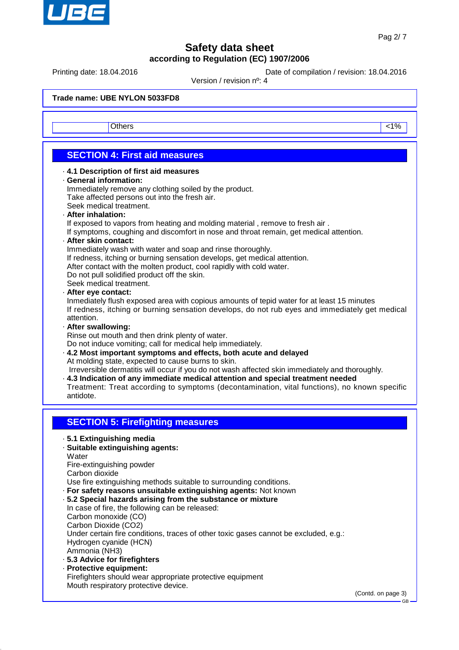

Printing date: 18.04.2016 **Date of compilation / revision: 18.04.2016** 

Version / revision nº: 4

**Trade name: UBE NYLON 5033FD8**

Others and the contract of the contract of the contract of the contract of the contract of the contract of the contract of the contract of the contract of the contract of the contract of the contract of the contract of the

## **SECTION 4: First aid measures**

#### · **4.1 Description of first aid measures**

#### · **General information:**

Immediately remove any clothing soiled by the product. Take affected persons out into the fresh air. Seek medical treatment.

#### · **After inhalation:**

If exposed to vapors from heating and molding material , remove to fresh air .

If symptoms, coughing and discomfort in nose and throat remain, get medical attention.

#### · **After skin contact:**

Immediately wash with water and soap and rinse thoroughly.

If redness, itching or burning sensation develops, get medical attention.

After contact with the molten product, cool rapidly with cold water.

Do not pull solidified product off the skin.

Seek medical treatment.

#### · **After eye contact:**

Inmediately flush exposed area with copious amounts of tepid water for at least 15 minutes If redness, itching or burning sensation develops, do not rub eyes and immediately get medical attention.

· **After swallowing:**

Rinse out mouth and then drink plenty of water.

Do not induce vomiting; call for medical help immediately.

· **4.2 Most important symptoms and effects, both acute and delayed** At molding state, expected to cause burns to skin.

Irreversible dermatitis will occur if you do not wash affected skin immediately and thoroughly.

· **4.3 Indication of any immediate medical attention and special treatment needed** Treatment: Treat according to symptoms (decontamination, vital functions), no known specific antidote.

## **SECTION 5: Firefighting measures**

· **5.1 Extinguishing media**

### · **Suitable extinguishing agents:**

**Water** 

Fire-extinguishing powder

Carbon dioxide

Use fire extinguishing methods suitable to surrounding conditions.

· **For safety reasons unsuitable extinguishing agents:** Not known

#### · **5.2 Special hazards arising from the substance or mixture**

In case of fire, the following can be released: Carbon monoxide (CO) Carbon Dioxide (CO2) Under certain fire conditions, traces of other toxic gases cannot be excluded, e.g.: Hydrogen cyanide (HCN) Ammonia (NH3)

- · **5.3 Advice for firefighters**
- · **Protective equipment:** Firefighters should wear appropriate protective equipment Mouth respiratory protective device.

(Contd. on page 3)

GB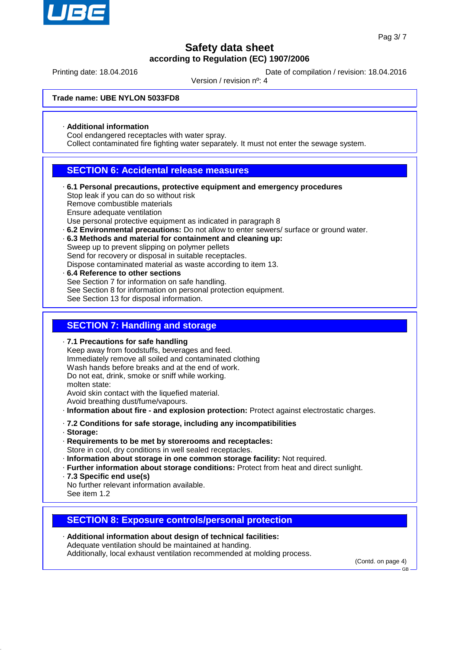

Printing date: 18.04.2016 **Date of compilation / revision: 18.04.2016** 

Version / revision nº: 4

**Trade name: UBE NYLON 5033FD8**

· **Additional information**

Cool endangered receptacles with water spray.

Collect contaminated fire fighting water separately. It must not enter the sewage system.

### **SECTION 6: Accidental release measures**

- · **6.1 Personal precautions, protective equipment and emergency procedures** Stop leak if you can do so without risk Remove combustible materials Ensure adequate ventilation Use personal protective equipment as indicated in paragraph 8
- · **6.2 Environmental precautions:** Do not allow to enter sewers/ surface or ground water.
- · **6.3 Methods and material for containment and cleaning up:** Sweep up to prevent slipping on polymer pellets Send for recovery or disposal in suitable receptacles. Dispose contaminated material as waste according to item 13.
- · **6.4 Reference to other sections** See Section 7 for information on safe handling. See Section 8 for information on personal protection equipment. See Section 13 for disposal information.

### **SECTION 7: Handling and storage**

· **7.1 Precautions for safe handling** Keep away from foodstuffs, beverages and feed. Immediately remove all soiled and contaminated clothing Wash hands before breaks and at the end of work. Do not eat, drink, smoke or sniff while working. molten state: Avoid skin contact with the liquefied material. Avoid breathing dust/fume/vapours. · **Information about fire - and explosion protection:** Protect against electrostatic charges. · **7.2 Conditions for safe storage, including any incompatibilities** · **Storage:** · **Requirements to be met by storerooms and receptacles:** Store in cool, dry conditions in well sealed receptacles.

- · **Information about storage in one common storage facility:** Not required.
- · **Further information about storage conditions:** Protect from heat and direct sunlight.
- · **7.3 Specific end use(s)**
- No further relevant information available. See item 1.2

#### **SECTION 8: Exposure controls/personal protection**

· **Additional information about design of technical facilities:** Adequate ventilation should be maintained at handing. Additionally, local exhaust ventilation recommended at molding process.

(Contd. on page 4)

GB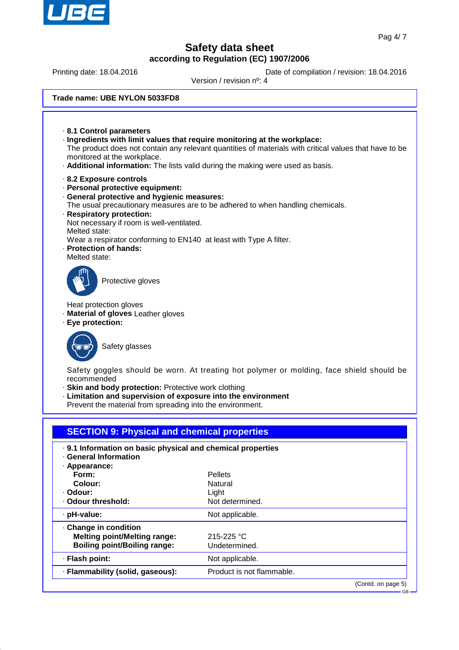

GB

## **Safety data sheet according to Regulation (EC) 1907/2006**

Printing date: 18.04.2016 **Date of compilation / revision: 18.04.2016** 

Version / revision nº: 4

#### **Trade name: UBE NYLON 5033FD8**

· **8.1 Control parameters** · **Ingredients with limit values that require monitoring at the workplace:** The product does not contain any relevant quantities of materials with critical values that have to be monitored at the workplace. · **Additional information:** The lists valid during the making were used as basis. · **8.2 Exposure controls** · **Personal protective equipment:** · **General protective and hygienic measures:** The usual precautionary measures are to be adhered to when handling chemicals. · **Respiratory protection:** Not necessary if room is well-ventilated. Melted state: Wear a respirator conforming to EN140 at least with Type A filter. · **Protection of hands:** Melted state: Protective gloves Heat protection gloves · **Material of gloves** Leather gloves · **Eye protection:** Safety glasses Safety goggles should be worn. At treating hot polymer or molding, face shield should be recommended · **Skin and body protection:** Protective work clothing · **Limitation and supervision of exposure into the environment** Prevent the material from spreading into the environment. **SECTION 9: Physical and chemical properties** · **9.1 Information on basic physical and chemical properties** · **General Information** · **Appearance: Form:** Pellets **Colour:** Natural · **Odour:** Light · Odour threshold: Not determined. · pH-value: Not applicable.

· **Change in condition Melting point/Melting range:** 215-225 °C **Boiling point/Boiling range:** Undetermined. · **Flash point:** Not applicable. · **Flammability (solid, gaseous):** Product is not flammable. (Contd. on page 5)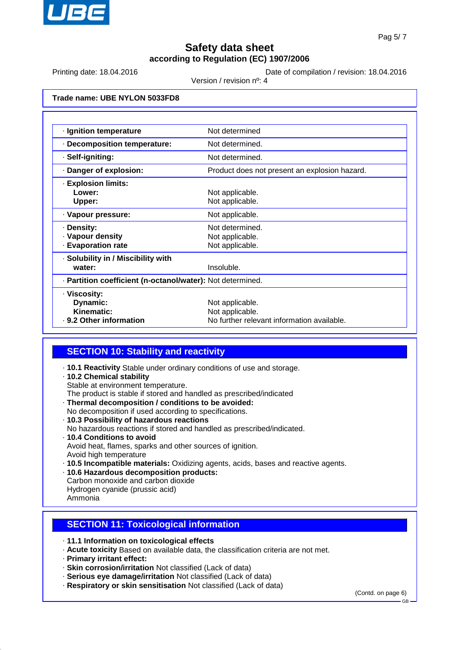

Printing date: 18.04.2016 **Date of compilation / revision: 18.04.2016** 

Version / revision nº: 4

**Trade name: UBE NYLON 5033FD8**

| · Ignition temperature                                     | Not determined                                |  |
|------------------------------------------------------------|-----------------------------------------------|--|
| · Decomposition temperature:                               | Not determined.                               |  |
| · Self-igniting:                                           | Not determined                                |  |
| · Danger of explosion:                                     | Product does not present an explosion hazard. |  |
| · Explosion limits:                                        |                                               |  |
| Lower:                                                     | Not applicable.                               |  |
| Upper:                                                     | Not applicable.                               |  |
| · Vapour pressure:                                         | Not applicable.                               |  |
| · Density:                                                 | Not determined.                               |  |
| · Vapour density                                           | Not applicable.                               |  |
| <b>Evaporation rate</b>                                    | Not applicable.                               |  |
| · Solubility in / Miscibility with                         |                                               |  |
| water:                                                     | Insoluble.                                    |  |
| · Partition coefficient (n-octanol/water): Not determined. |                                               |  |
| · Viscosity:                                               |                                               |  |
| Dynamic:                                                   | Not applicable.                               |  |
| Kinematic:                                                 | Not applicable.                               |  |
| . 9.2 Other information                                    | No further relevant information available.    |  |

### **SECTION 10: Stability and reactivity**

- · **10.1 Reactivity** Stable under ordinary conditions of use and storage.
- · **10.2 Chemical stability**
	- Stable at environment temperature.
- The product is stable if stored and handled as prescribed/indicated
- · **Thermal decomposition / conditions to be avoided:** No decomposition if used according to specifications.
- · **10.3 Possibility of hazardous reactions** No hazardous reactions if stored and handled as prescribed/indicated. · **10.4 Conditions to avoid** Avoid heat, flames, sparks and other sources of ignition. Avoid high temperature
- · **10.5 Incompatible materials:** Oxidizing agents, acids, bases and reactive agents.
- · **10.6 Hazardous decomposition products:** Carbon monoxide and carbon dioxide
- Hydrogen cyanide (prussic acid)
- Ammonia

## **SECTION 11: Toxicological information**

- · **11.1 Information on toxicological effects**
- · **Acute toxicity** Based on available data, the classification criteria are not met.
- · **Primary irritant effect:**
- · **Skin corrosion/irritation** Not classified (Lack of data)
- · **Serious eye damage/irritation** Not classified (Lack of data)
- · **Respiratory or skin sensitisation** Not classified (Lack of data)

(Contd. on page 6)

GB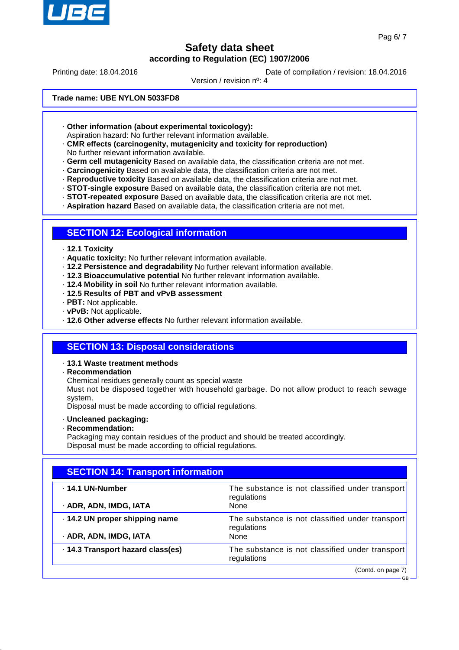

GB

## **Safety data sheet according to Regulation (EC) 1907/2006**

Printing date: 18.04.2016 **Date of compilation / revision: 18.04.2016** 

Version / revision nº: 4

**Trade name: UBE NYLON 5033FD8**

· **Other information (about experimental toxicology):**

Aspiration hazard: No further relevant information available.

- · **CMR effects (carcinogenity, mutagenicity and toxicity for reproduction)** No further relevant information available.
- · **Germ cell mutagenicity** Based on available data, the classification criteria are not met.
- · **Carcinogenicity** Based on available data, the classification criteria are not met.
- · **Reproductive toxicity** Based on available data, the classification criteria are not met.
- · **STOT-single exposure** Based on available data, the classification criteria are not met.
- · **STOT-repeated exposure** Based on available data, the classification criteria are not met.
- · **Aspiration hazard** Based on available data, the classification criteria are not met.

### **SECTION 12: Ecological information**

- · **12.1 Toxicity**
- · **Aquatic toxicity:** No further relevant information available.
- · **12.2 Persistence and degradability** No further relevant information available.
- · **12.3 Bioaccumulative potential** No further relevant information available.
- · **12.4 Mobility in soil** No further relevant information available.
- · **12.5 Results of PBT and vPvB assessment**
- · **PBT:** Not applicable.
- · **vPvB:** Not applicable.
- · **12.6 Other adverse effects** No further relevant information available.

## **SECTION 13: Disposal considerations**

- · **13.1 Waste treatment methods**
- · **Recommendation**

Chemical residues generally count as special waste

Must not be disposed together with household garbage. Do not allow product to reach sewage system.

Disposal must be made according to official regulations.

- · **Uncleaned packaging:**
- · **Recommendation:**

Packaging may contain residues of the product and should be treated accordingly. Disposal must be made according to official regulations.

| <b>SECTION 14: Transport information</b>                 |                                                                        |  |
|----------------------------------------------------------|------------------------------------------------------------------------|--|
| $\cdot$ 14.1 UN-Number<br>· ADR, ADN, IMDG, IATA         | The substance is not classified under transport<br>regulations<br>None |  |
| · 14.2 UN proper shipping name<br>· ADR, ADN, IMDG, IATA | The substance is not classified under transport<br>regulations<br>None |  |
| · 14.3 Transport hazard class(es)                        | The substance is not classified under transport<br>regulations         |  |
|                                                          | (Contd. on page 7)                                                     |  |